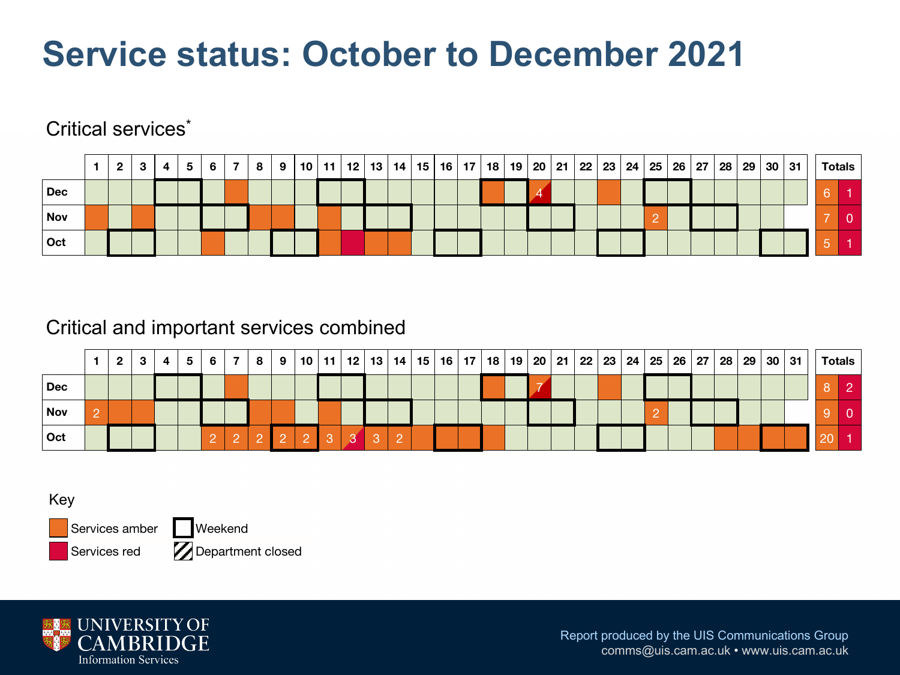# **Service status: October to December 2021**

#### Critical services<sup>\*</sup>

|            | $\mathbf{2}$ | 3 | 4 | 5 | 6 I | <b>7</b> l | $89$ | 10   11   12   13   14   15   16   17   18   19   20   21   22   23   24   25   26   27   28   29 |  |  |  |  |  |  |  |  |  |  | 30 31 | <b>Totals</b> |
|------------|--------------|---|---|---|-----|------------|------|---------------------------------------------------------------------------------------------------|--|--|--|--|--|--|--|--|--|--|-------|---------------|
| <b>Dec</b> |              |   |   |   |     |            |      |                                                                                                   |  |  |  |  |  |  |  |  |  |  |       |               |
| <b>Nov</b> |              |   |   |   |     |            |      |                                                                                                   |  |  |  |  |  |  |  |  |  |  |       |               |
| Oct        |              |   |   |   |     |            |      |                                                                                                   |  |  |  |  |  |  |  |  |  |  |       |               |

#### Critical and important services combined

|       | $\mathbf{2}$ | 3 | 4 | 5 | 6 | 8 | 9 <sup>1</sup> |  | │ 10 │ 11 │ 12 │ 13 │ 14 │ 15 │ 16 │ 17 │ |  |  | 18 | 19 |  | 20   21   22   23   24   25   26   27   28   29 |  |  |  | 30 | ∣ 31 | <b>Totals</b> |
|-------|--------------|---|---|---|---|---|----------------|--|-------------------------------------------|--|--|----|----|--|-------------------------------------------------|--|--|--|----|------|---------------|
| ∣ Dec |              |   |   |   |   |   |                |  |                                           |  |  |    |    |  |                                                 |  |  |  |    |      |               |
| Nov   |              |   |   |   |   |   |                |  |                                           |  |  |    |    |  |                                                 |  |  |  |    |      |               |
| ∣ Oct |              |   |   |   |   |   |                |  | 3                                         |  |  |    |    |  |                                                 |  |  |  |    |      |               |

Key

Services amber Services red

Weekend **Z** Department closed

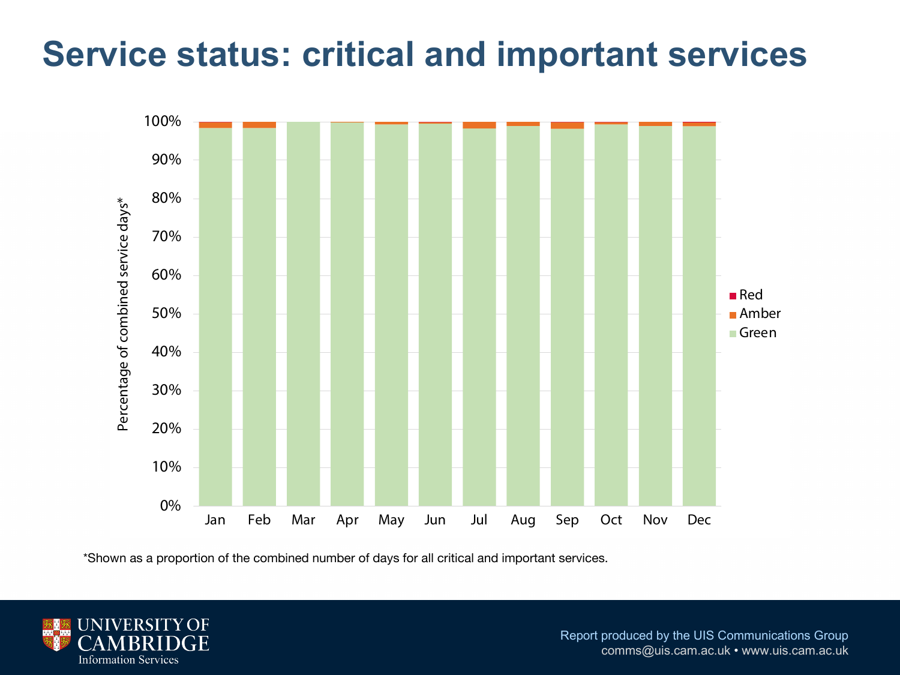### **Service status: critical and important services**



\*Shown as a proportion of the combined number of days for all critical and important services.

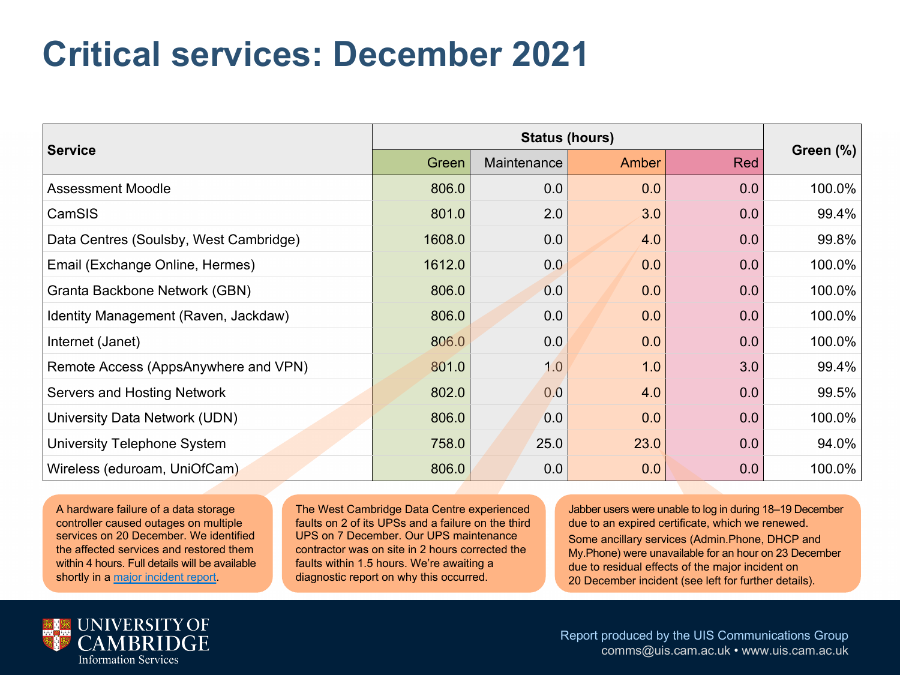### **Critical services: December 2021**

|                                        |        | <b>Status (hours)</b> |       |     |  |  |  |  |  |  |  |  |  |
|----------------------------------------|--------|-----------------------|-------|-----|--|--|--|--|--|--|--|--|--|
| <b>Service</b>                         | Green  | Maintenance           | Amber | Red |  |  |  |  |  |  |  |  |  |
| <b>Assessment Moodle</b>               | 806.0  | 0.0                   | 0.0   | 0.0 |  |  |  |  |  |  |  |  |  |
| CamSIS                                 | 801.0  | 2.0                   | 3.0   | 0.0 |  |  |  |  |  |  |  |  |  |
| Data Centres (Soulsby, West Cambridge) | 1608.0 | 0.0                   | 4.0   | 0.0 |  |  |  |  |  |  |  |  |  |
| Email (Exchange Online, Hermes)        | 1612.0 | 0.0                   | 0.0   | 0.0 |  |  |  |  |  |  |  |  |  |
| Granta Backbone Network (GBN)          | 806.0  | 0.0                   | 0.0   | 0.0 |  |  |  |  |  |  |  |  |  |
| Identity Management (Raven, Jackdaw)   | 806.0  | 0.0                   | 0.0   | 0.0 |  |  |  |  |  |  |  |  |  |
| Internet (Janet)                       | 806.0  | 0.0                   | 0.0   | 0.0 |  |  |  |  |  |  |  |  |  |
| Remote Access (AppsAnywhere and VPN)   | 801.0  | 1.0                   | 1.0   | 3.0 |  |  |  |  |  |  |  |  |  |
| Servers and Hosting Network            | 802.0  | 0.0                   | 4.0   | 0.0 |  |  |  |  |  |  |  |  |  |
| University Data Network (UDN)          | 806.0  | 0.0                   | 0.0   | 0.0 |  |  |  |  |  |  |  |  |  |
| University Telephone System            | 758.0  | 25.0                  | 23.0  | 0.0 |  |  |  |  |  |  |  |  |  |
| Wireless (eduroam, UniOfCam)           | 806.0  | 0.0                   | 0.0   | 0.0 |  |  |  |  |  |  |  |  |  |

A hardware failure of a data storage controller caused outages on multiple services on 20 December. We identified the affected services and restored them within 4 hours. Full details will be available shortly in a major incident report.

The West Cambridge Data Centre experienced faults on 2 of its UPSs and a failure on the third UPS on 7 December. Our UPS maintenance contractor was on site in 2 hours corrected the faults within 1.5 hours. We're awaiting a diagnostic report on why this occurred.

Jabber users were unable to log in during due to an expired certificate, which we r Some ancillary services (Admin.Phone, My.Phone) were unavailable for an hour o due to residual effects of the major incid 20 December incident (see left for furth

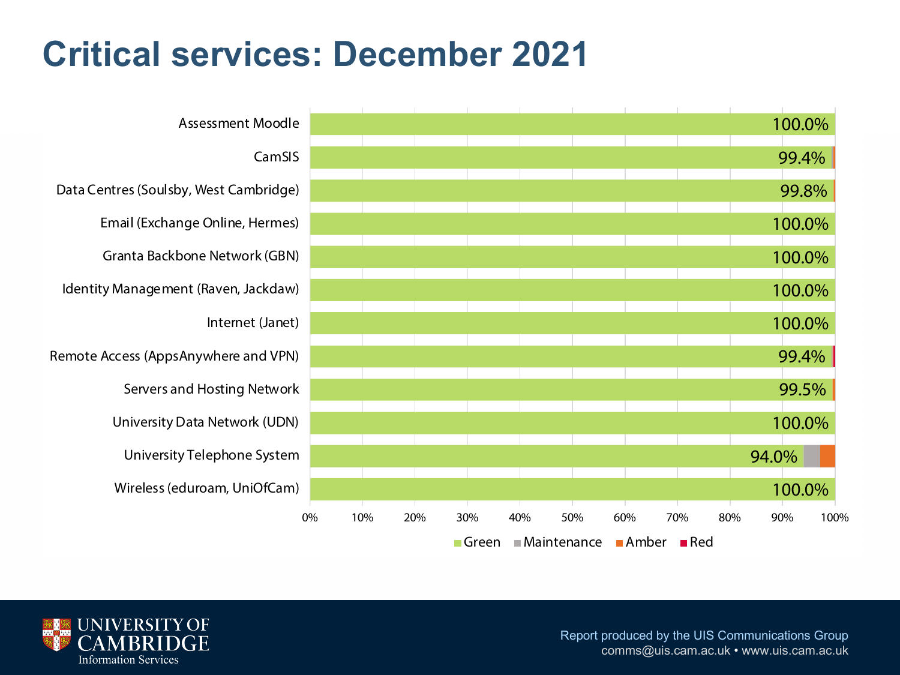# **Critical services: December 2021**



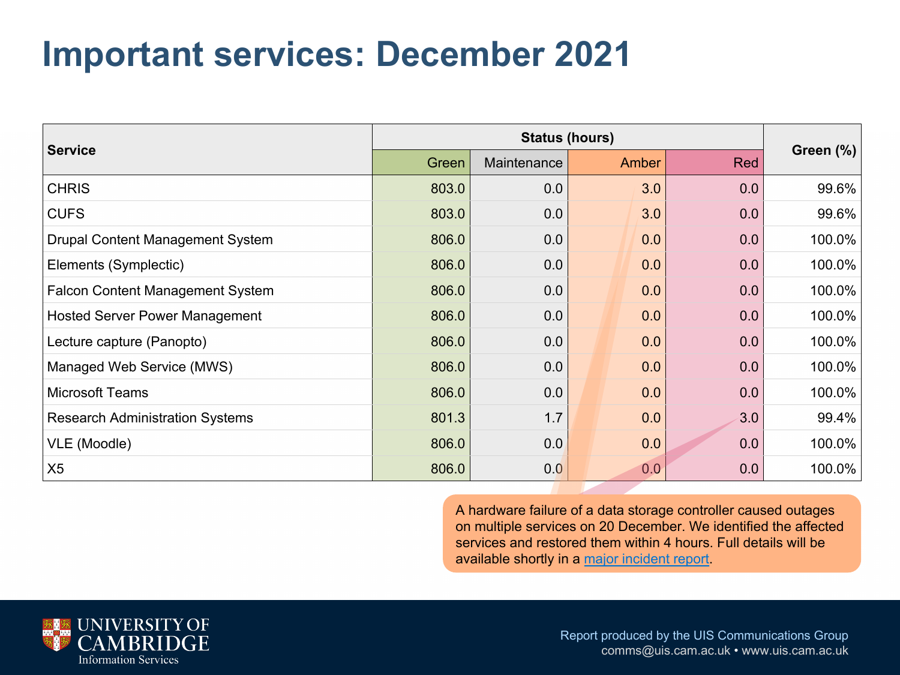### **Important services: December 2021**

|                                         |       | <b>Status (hours)</b> |  |       |     |  |  |  |  |  |  |  |  |
|-----------------------------------------|-------|-----------------------|--|-------|-----|--|--|--|--|--|--|--|--|
| <b>Service</b>                          | Green | Maintenance           |  | Amber | Red |  |  |  |  |  |  |  |  |
| <b>CHRIS</b>                            | 803.0 | 0.0                   |  | 3.0   | 0.0 |  |  |  |  |  |  |  |  |
| <b>CUFS</b>                             | 803.0 | 0.0                   |  | 3.0   | 0.0 |  |  |  |  |  |  |  |  |
| <b>Drupal Content Management System</b> | 806.0 | 0.0                   |  | 0.0   | 0.0 |  |  |  |  |  |  |  |  |
| Elements (Symplectic)                   | 806.0 | 0.0                   |  | 0.0   | 0.0 |  |  |  |  |  |  |  |  |
| <b>Falcon Content Management System</b> | 806.0 | 0.0                   |  | 0.0   | 0.0 |  |  |  |  |  |  |  |  |
| <b>Hosted Server Power Management</b>   | 806.0 | 0.0                   |  | 0.0   | 0.0 |  |  |  |  |  |  |  |  |
| Lecture capture (Panopto)               | 806.0 | 0.0                   |  | 0.0   | 0.0 |  |  |  |  |  |  |  |  |
| Managed Web Service (MWS)               | 806.0 | 0.0                   |  | 0.0   | 0.0 |  |  |  |  |  |  |  |  |
| <b>Microsoft Teams</b>                  | 806.0 | 0.0                   |  | 0.0   | 0.0 |  |  |  |  |  |  |  |  |
| <b>Research Administration Systems</b>  | 801.3 | 1.7                   |  | 0.0   | 3.0 |  |  |  |  |  |  |  |  |
| VLE (Moodle)                            | 806.0 | 0.0                   |  | 0.0   | 0.0 |  |  |  |  |  |  |  |  |
| X <sub>5</sub>                          | 806.0 | 0.0                   |  | 0.0   | 0.0 |  |  |  |  |  |  |  |  |
|                                         |       |                       |  |       |     |  |  |  |  |  |  |  |  |

A hardware failure of a data storage controller cause on multiple services on 20 December. We identified services and restored them within 4 hours. Full deta available shortly in a major incident report.